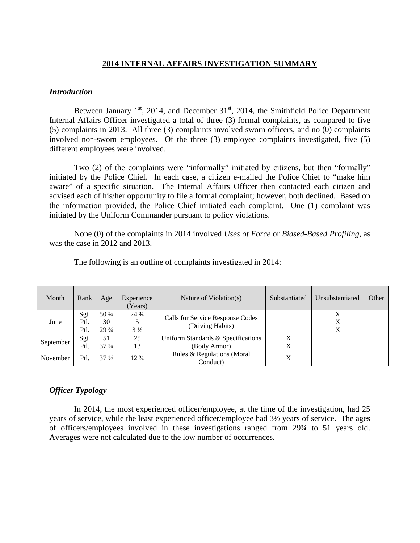# **2014 INTERNAL AFFAIRS INVESTIGATION SUMMARY**

#### *Introduction*

Between January  $1<sup>st</sup>$ , 2014, and December 31 $<sup>st</sup>$ , 2014, the Smithfield Police Department</sup> Internal Affairs Officer investigated a total of three (3) formal complaints, as compared to five (5) complaints in 2013. All three (3) complaints involved sworn officers, and no (0) complaints involved non-sworn employees. Of the three (3) employee complaints investigated, five (5) different employees were involved.

Two (2) of the complaints were "informally" initiated by citizens, but then "formally" initiated by the Police Chief. In each case, a citizen e-mailed the Police Chief to "make him aware" of a specific situation. The Internal Affairs Officer then contacted each citizen and advised each of his/her opportunity to file a formal complaint; however, both declined. Based on the information provided, the Police Chief initiated each complaint. One (1) complaint was initiated by the Uniform Commander pursuant to policy violations.

None (0) of the complaints in 2014 involved *Uses of Force* or *Biased-Based Profiling*, as was the case in 2012 and 2013.

| Month     | Rank                 | Age                             | Experience<br>Years)              | Nature of Violation(s)                               | Substantiated | Unsubstantiated | Other |
|-----------|----------------------|---------------------------------|-----------------------------------|------------------------------------------------------|---------------|-----------------|-------|
| June      | Sgt.<br>Ptl.<br>Ptl. | 50 3/4<br>30<br>$29\frac{3}{4}$ | $24\frac{3}{4}$<br>$3\frac{1}{2}$ | Calls for Service Response Codes<br>(Driving Habits) |               | Χ               |       |
| September | Sgt.<br>Ptl.         | 51<br>$37\frac{1}{4}$           | 25<br>13                          | Uniform Standards & Specifications<br>(Body Armor)   | X             |                 |       |
| November  | Ptl.                 | $37\frac{1}{2}$                 | 12.3/4                            | Rules & Regulations (Moral<br>Conduct)               | X             |                 |       |

The following is an outline of complaints investigated in 2014:

# *Officer Typology*

In 2014, the most experienced officer/employee, at the time of the investigation, had 25 years of service, while the least experienced officer/employee had 3½ years of service. The ages of officers/employees involved in these investigations ranged from 29¾ to 51 years old. Averages were not calculated due to the low number of occurrences.